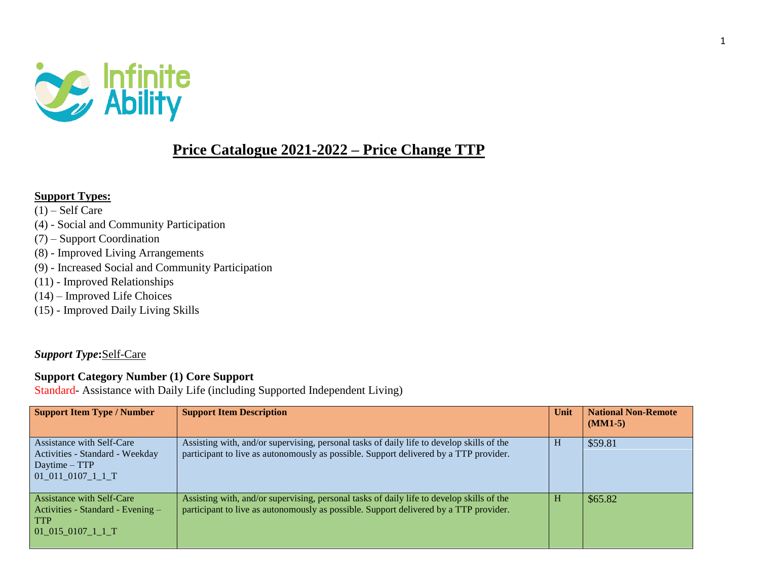

## **Price Catalogue 2021-2022 – Price Change TTP**

#### **Support Types:**

- $(1)$  Self Care
- (4) Social and Community Participation
- (7) Support Coordination
- (8) Improved Living Arrangements
- (9) Increased Social and Community Participation
- (11) Improved Relationships
- (14) Improved Life Choices
- (15) Improved Daily Living Skills

#### *Support Type***:**Self-Care

#### **Support Category Number (1) Core Support**

Standard- Assistance with Daily Life (including Supported Independent Living)

| <b>Support Item Type / Number</b>                                                                        | <b>Support Item Description</b>                                                                                                                                                    | Unit | <b>National Non-Remote</b><br>$(MM1-5)$ |
|----------------------------------------------------------------------------------------------------------|------------------------------------------------------------------------------------------------------------------------------------------------------------------------------------|------|-----------------------------------------|
| Assistance with Self-Care<br>Activities - Standard - Weekday<br>Daytime – TTP<br>01 011 0107 1 1 T       | Assisting with, and/or supervising, personal tasks of daily life to develop skills of the<br>participant to live as autonomously as possible. Support delivered by a TTP provider. | H    | \$59.81                                 |
| <b>Assistance with Self-Care</b><br>Activities - Standard - Evening -<br><b>TTP</b><br>01 015 0107 1 1 T | Assisting with, and/or supervising, personal tasks of daily life to develop skills of the<br>participant to live as autonomously as possible. Support delivered by a TTP provider. | Н    | \$65.82                                 |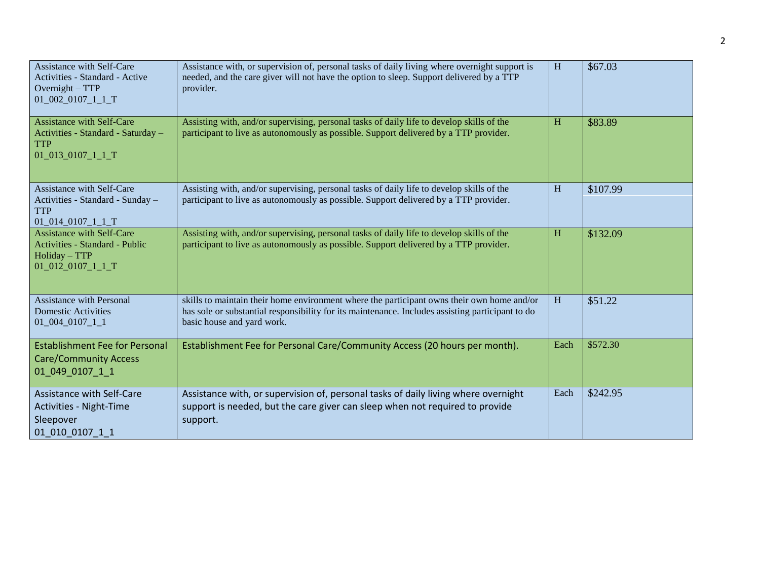| Assistance with Self-Care<br>Activities - Standard - Active<br>Overnight $-$ TTP<br>$01\_002\_0107\_1\_1\_T$    | Assistance with, or supervision of, personal tasks of daily living where overnight support is<br>needed, and the care giver will not have the option to sleep. Support delivered by a TTP<br>provider.                       | H    | \$67.03  |
|-----------------------------------------------------------------------------------------------------------------|------------------------------------------------------------------------------------------------------------------------------------------------------------------------------------------------------------------------------|------|----------|
| <b>Assistance with Self-Care</b><br>Activities - Standard - Saturday -<br><b>TTP</b><br>01_013_0107_1_1_T       | Assisting with, and/or supervising, personal tasks of daily life to develop skills of the<br>participant to live as autonomously as possible. Support delivered by a TTP provider.                                           | H    | \$83.89  |
| <b>Assistance with Self-Care</b><br>Activities - Standard - Sunday -<br><b>TTP</b><br>$01\_014\_0107\_1\_1\_T$  | Assisting with, and/or supervising, personal tasks of daily life to develop skills of the<br>participant to live as autonomously as possible. Support delivered by a TTP provider.                                           | H    | \$107.99 |
| <b>Assistance with Self-Care</b><br>Activities - Standard - Public<br>Holiday - TTP<br>$01\_012\_0107\_1\_1\_T$ | Assisting with, and/or supervising, personal tasks of daily life to develop skills of the<br>participant to live as autonomously as possible. Support delivered by a TTP provider.                                           | H    | \$132.09 |
| <b>Assistance with Personal</b><br><b>Domestic Activities</b><br>$01\_004\_0107\_1\_1$                          | skills to maintain their home environment where the participant owns their own home and/or<br>has sole or substantial responsibility for its maintenance. Includes assisting participant to do<br>basic house and yard work. | H    | \$51.22  |
| <b>Establishment Fee for Personal</b><br><b>Care/Community Access</b><br>01 049 0107 1 1                        | Establishment Fee for Personal Care/Community Access (20 hours per month).                                                                                                                                                   | Each | \$572.30 |
| Assistance with Self-Care<br>Activities - Night-Time<br>Sleepover<br>01 010 0107 1 1                            | Assistance with, or supervision of, personal tasks of daily living where overnight<br>support is needed, but the care giver can sleep when not required to provide<br>support.                                               | Each | \$242.95 |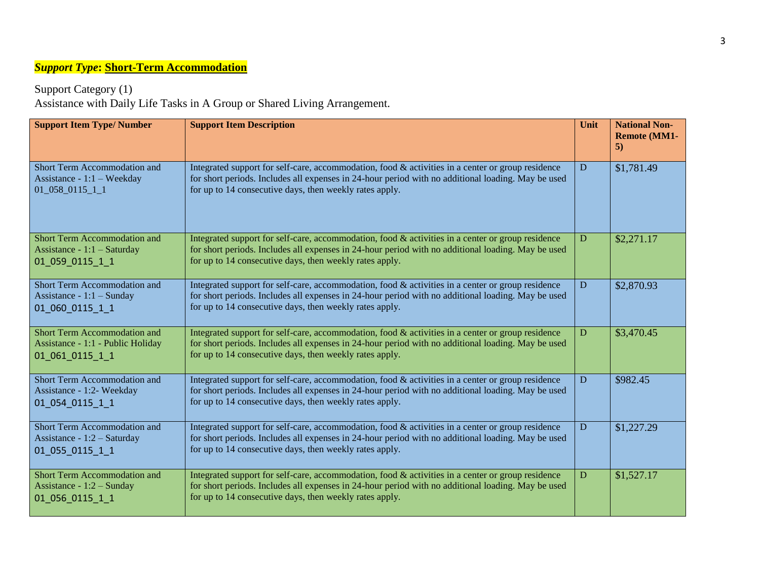# *Support Type***: Short-Term Accommodation**

Support Category (1)

Assistance with Daily Life Tasks in A Group or Shared Living Arrangement.

| <b>Support Item Type/ Number</b>                                                        | <b>Support Item Description</b>                                                                                                                                                                                                                                       | Unit | <b>National Non-</b><br><b>Remote (MM1-</b><br>5) |
|-----------------------------------------------------------------------------------------|-----------------------------------------------------------------------------------------------------------------------------------------------------------------------------------------------------------------------------------------------------------------------|------|---------------------------------------------------|
| Short Term Accommodation and<br>Assistance - $1:1$ – Weekday<br>$01\_058\_0115\_1\_1$   | Integrated support for self-care, accommodation, food & activities in a center or group residence<br>for short periods. Includes all expenses in 24-hour period with no additional loading. May be used<br>for up to 14 consecutive days, then weekly rates apply.    | D    | \$1,781.49                                        |
| <b>Short Term Accommodation and</b><br>Assistance - $1:1$ – Saturday<br>01 059 0115 1 1 | Integrated support for self-care, accommodation, food $\&$ activities in a center or group residence<br>for short periods. Includes all expenses in 24-hour period with no additional loading. May be used<br>for up to 14 consecutive days, then weekly rates apply. | D    | \$2,271.17                                        |
| Short Term Accommodation and<br>Assistance - $1:1$ – Sunday<br>01 060 0115 1 1          | Integrated support for self-care, accommodation, food & activities in a center or group residence<br>for short periods. Includes all expenses in 24-hour period with no additional loading. May be used<br>for up to 14 consecutive days, then weekly rates apply.    | D    | \$2,870.93                                        |
| Short Term Accommodation and<br>Assistance - 1:1 - Public Holiday<br>01 061 0115 1 1    | Integrated support for self-care, accommodation, food & activities in a center or group residence<br>for short periods. Includes all expenses in 24-hour period with no additional loading. May be used<br>for up to 14 consecutive days, then weekly rates apply.    | D    | \$3,470.45                                        |
| Short Term Accommodation and<br>Assistance - 1:2- Weekday<br>01 054 0115 1 1            | Integrated support for self-care, accommodation, food & activities in a center or group residence<br>for short periods. Includes all expenses in 24-hour period with no additional loading. May be used<br>for up to 14 consecutive days, then weekly rates apply.    | D    | \$982.45                                          |
| Short Term Accommodation and<br>Assistance - 1:2 - Saturday<br>01 055 0115 1 1          | Integrated support for self-care, accommodation, food $\&$ activities in a center or group residence<br>for short periods. Includes all expenses in 24-hour period with no additional loading. May be used<br>for up to 14 consecutive days, then weekly rates apply. | D    | \$1,227.29                                        |
| Short Term Accommodation and<br>Assistance - 1:2 - Sunday<br>01_056_0115_1_1            | Integrated support for self-care, accommodation, food & activities in a center or group residence<br>for short periods. Includes all expenses in 24-hour period with no additional loading. May be used<br>for up to 14 consecutive days, then weekly rates apply.    | D    | \$1,527.17                                        |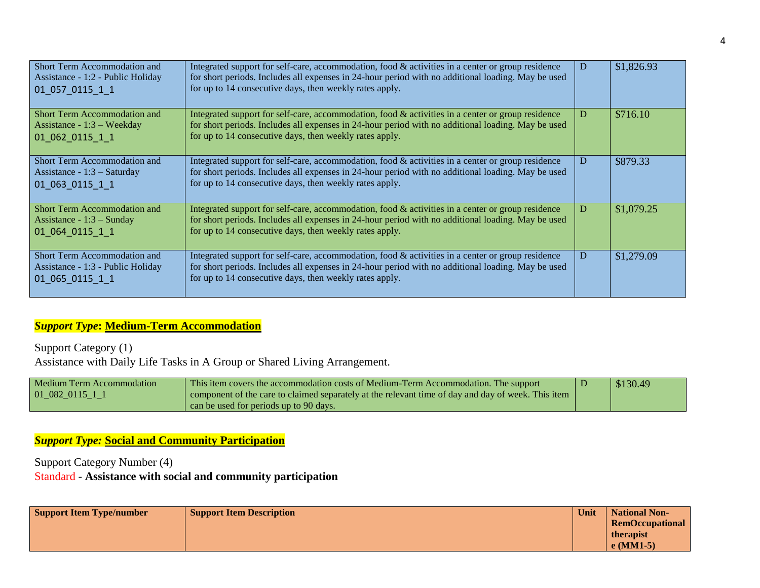| Short Term Accommodation and<br>Assistance - 1:2 - Public Holiday<br>01 057 0115 1 1  | Integrated support for self-care, accommodation, food & activities in a center or group residence<br>for short periods. Includes all expenses in 24-hour period with no additional loading. May be used<br>for up to 14 consecutive days, then weekly rates apply.    |    | \$1,826.93 |
|---------------------------------------------------------------------------------------|-----------------------------------------------------------------------------------------------------------------------------------------------------------------------------------------------------------------------------------------------------------------------|----|------------|
| Short Term Accommodation and<br>Assistance - $1:3$ – Weekday<br>01 062 0115 1 1       | Integrated support for self-care, accommodation, food $\&$ activities in a center or group residence<br>for short periods. Includes all expenses in 24-hour period with no additional loading. May be used<br>for up to 14 consecutive days, then weekly rates apply. | I) | \$716.10   |
| Short Term Accommodation and<br>Assistance - $1:3$ – Saturday<br>01 063 0115 1 1      | Integrated support for self-care, accommodation, food $\&$ activities in a center or group residence<br>for short periods. Includes all expenses in 24-hour period with no additional loading. May be used<br>for up to 14 consecutive days, then weekly rates apply. | Ð  | \$879.33   |
| <b>Short Term Accommodation and</b><br>Assistance - $1:3$ – Sunday<br>01 064 0115 1 1 | Integrated support for self-care, accommodation, food & activities in a center or group residence<br>for short periods. Includes all expenses in 24-hour period with no additional loading. May be used<br>for up to 14 consecutive days, then weekly rates apply.    | D  | \$1,079.25 |
| Short Term Accommodation and<br>Assistance - 1:3 - Public Holiday<br>01 065 0115 1 1  | Integrated support for self-care, accommodation, food $\&$ activities in a center or group residence<br>for short periods. Includes all expenses in 24-hour period with no additional loading. May be used<br>for up to 14 consecutive days, then weekly rates apply. | I) | \$1,279.09 |

#### *Support Type***: Medium-Term Accommodation**

Support Category (1) Assistance with Daily Life Tasks in A Group or Shared Living Arrangement.

| Medium Term Accommodation | This item covers the accommodation costs of Medium-Term Accommodation. The support                 | \$130.49 |
|---------------------------|----------------------------------------------------------------------------------------------------|----------|
| 01 082 0115 1 1           | component of the care to claimed separately at the relevant time of day and day of week. This item |          |
|                           | can be used for periods up to 90 days.                                                             |          |

#### *Support Type:* **Social and Community Participation**

Support Category Number (4) Standard - **Assistance with social and community participation**

| <b>Support Item Type/number</b> | <b>Support Item Description</b> | Unit | National Non-          |
|---------------------------------|---------------------------------|------|------------------------|
|                                 |                                 |      | <b>RemOccupational</b> |
|                                 |                                 |      | therapist              |
|                                 |                                 |      | $e(MM1-5)$             |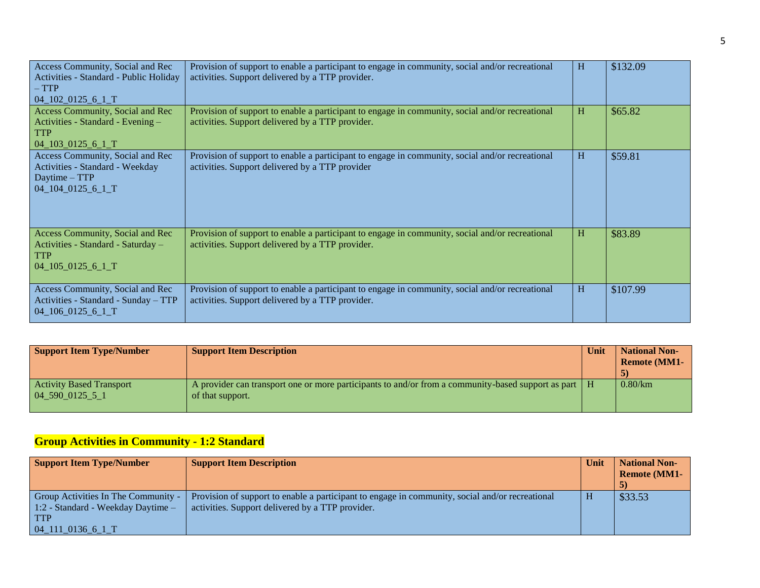| Access Community, Social and Rec<br>Activities - Standard - Public Holiday<br>$- TTP$<br>$04\_102\_0125\_6\_1\_T$ | Provision of support to enable a participant to engage in community, social and/or recreational<br>activities. Support delivered by a TTP provider. | H | \$132.09 |
|-------------------------------------------------------------------------------------------------------------------|-----------------------------------------------------------------------------------------------------------------------------------------------------|---|----------|
| Access Community, Social and Rec<br>Activities - Standard - Evening -<br><b>TTP</b><br>$04$ 103 0125 6 1          | Provision of support to enable a participant to engage in community, social and/or recreational<br>activities. Support delivered by a TTP provider. | H | \$65.82  |
| Access Community, Social and Rec<br>Activities - Standard - Weekday<br>Daytime – TTP<br>$04\_104\_0125\_6\_1\_T$  | Provision of support to enable a participant to engage in community, social and/or recreational<br>activities. Support delivered by a TTP provider  | H | \$59.81  |
| Access Community, Social and Rec<br>Activities - Standard - Saturday -<br><b>TTP</b><br>$04\_105\_0125\_6\_1\_T$  | Provision of support to enable a participant to engage in community, social and/or recreational<br>activities. Support delivered by a TTP provider. | H | \$83.89  |
| Access Community, Social and Rec<br>Activities - Standard - Sunday - TTP<br>$04\_106\_0125\_6\_1\_T$              | Provision of support to enable a participant to engage in community, social and/or recreational<br>activities. Support delivered by a TTP provider. | H | \$107.99 |

| <b>Support Item Type/Number</b>                | <b>Support Item Description</b>                                                                                                      | Unit | <b>National Non-</b><br><b>Remote (MM1-</b> |
|------------------------------------------------|--------------------------------------------------------------------------------------------------------------------------------------|------|---------------------------------------------|
| <b>Activity Based Transport</b><br>04590012551 | A provider can transport one or more participants to and/or from a community-based support as part $\parallel$ H<br>of that support. |      | 0.80/km                                     |

## **Group Activities in Community - 1:2 Standard**

| <b>Support Item Type/Number</b>               | <b>Support Item Description</b>                                                                 | Unit | <b>National Non-</b> |
|-----------------------------------------------|-------------------------------------------------------------------------------------------------|------|----------------------|
|                                               |                                                                                                 |      | <b>Remote (MM1-</b>  |
|                                               |                                                                                                 |      |                      |
| Group Activities In The Community -           | Provision of support to enable a participant to engage in community, social and/or recreational |      | \$33.53              |
| $1:2$ - Standard - Weekday Daytime $-$        | activities. Support delivered by a TTP provider.                                                |      |                      |
| <b>TTP</b>                                    |                                                                                                 |      |                      |
| $04$ <sub>-111</sub> -0136 <sub>-6</sub> -1-T |                                                                                                 |      |                      |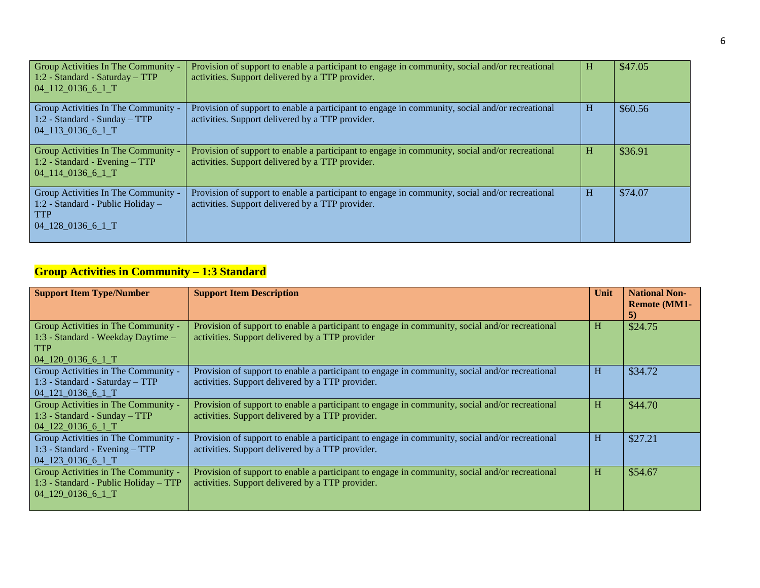| Group Activities In The Community -<br>1:2 - Standard - Saturday - TTP<br>$04$ 112 0136 6 1 T                                                       | Provision of support to enable a participant to engage in community, social and/or recreational<br>activities. Support delivered by a TTP provider. | H | \$47.05 |
|-----------------------------------------------------------------------------------------------------------------------------------------------------|-----------------------------------------------------------------------------------------------------------------------------------------------------|---|---------|
| Group Activities In The Community -<br>1:2 - Standard - Sunday - TTP<br>04 113 0136 6 1 T                                                           | Provision of support to enable a participant to engage in community, social and/or recreational<br>activities. Support delivered by a TTP provider. | H | \$60.56 |
| Group Activities In The Community -<br>1:2 - Standard - Evening - TTP<br>04 114 0136 6 1 T                                                          | Provision of support to enable a participant to engage in community, social and/or recreational<br>activities. Support delivered by a TTP provider. | H | \$36.91 |
| Group Activities In The Community -<br>1:2 - Standard - Public Holiday -<br><b>TTP</b><br>$04$ <sub>-128</sub> -0136 <sub>-6</sub> -1 <sup>-T</sup> | Provision of support to enable a participant to engage in community, social and/or recreational<br>activities. Support delivered by a TTP provider. | H | \$74.07 |

## **Group Activities in Community – 1:3 Standard**

| <b>Support Item Type/Number</b>                                                                              | <b>Support Item Description</b>                                                                                                                     | Unit | <b>National Non-</b><br><b>Remote (MM1-</b><br>5) |
|--------------------------------------------------------------------------------------------------------------|-----------------------------------------------------------------------------------------------------------------------------------------------------|------|---------------------------------------------------|
| Group Activities in The Community -<br>1:3 - Standard - Weekday Daytime -<br><b>TTP</b><br>$04$ 120 0136 6 1 | Provision of support to enable a participant to engage in community, social and/or recreational<br>activities. Support delivered by a TTP provider  | Н    | \$24.75                                           |
| Group Activities in The Community -<br>1:3 - Standard - Saturday - TTP<br>$04$ 121 0136 6 1                  | Provision of support to enable a participant to engage in community, social and/or recreational<br>activities. Support delivered by a TTP provider. | H    | \$34.72                                           |
| Group Activities in The Community -<br>1:3 - Standard - Sunday - TTP<br>$04$ 122 0136 6 1 T                  | Provision of support to enable a participant to engage in community, social and/or recreational<br>activities. Support delivered by a TTP provider. | Н    | \$44.70                                           |
| Group Activities in The Community -<br>1:3 - Standard - Evening - TTP<br>04_123_0136_6_1_T                   | Provision of support to enable a participant to engage in community, social and/or recreational<br>activities. Support delivered by a TTP provider. | H    | \$27.21                                           |
| Group Activities in The Community -<br>1:3 - Standard - Public Holiday – TTP<br>04 129 0136 6 1 T            | Provision of support to enable a participant to engage in community, social and/or recreational<br>activities. Support delivered by a TTP provider. | H    | \$54.67                                           |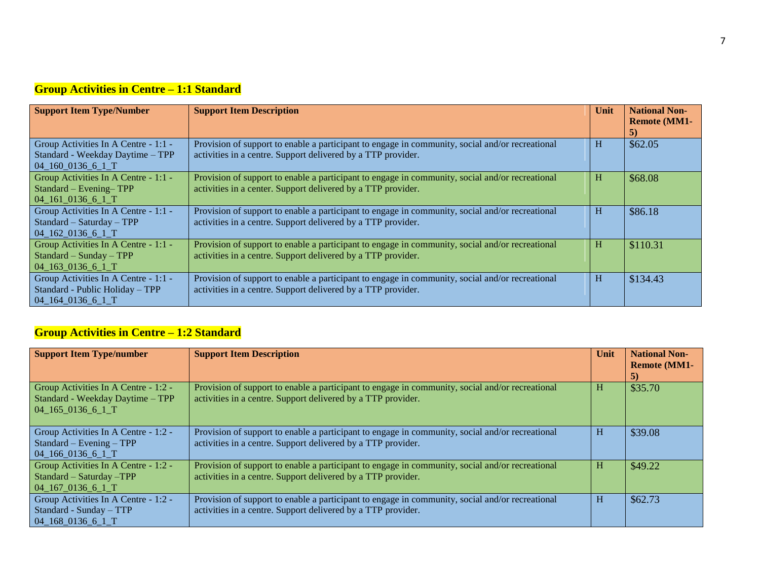# **Group Activities in Centre – 1:1 Standard**

| <b>Support Item Type/Number</b>                                                                      | <b>Support Item Description</b>                                                                                                                                 | Unit | <b>National Non-</b><br><b>Remote (MM1-</b><br>5) |
|------------------------------------------------------------------------------------------------------|-----------------------------------------------------------------------------------------------------------------------------------------------------------------|------|---------------------------------------------------|
| Group Activities In A Centre - 1:1 -<br>Standard - Weekday Daytime - TPP<br>$04\_160\_0136\_6\_1\_T$ | Provision of support to enable a participant to engage in community, social and/or recreational<br>activities in a centre. Support delivered by a TTP provider. | H    | \$62.05                                           |
| Group Activities In A Centre - 1:1 -<br>Standard – Evening–TPP<br>$04$ 161 0136 6 1 T                | Provision of support to enable a participant to engage in community, social and/or recreational<br>activities in a center. Support delivered by a TTP provider. | H    | \$68.08                                           |
| Group Activities In A Centre - 1:1 -<br>Standard - Saturday - TPP<br>04_162_0136_6_1_T               | Provision of support to enable a participant to engage in community, social and/or recreational<br>activities in a centre. Support delivered by a TTP provider. | H    | \$86.18                                           |
| Group Activities In A Centre - 1:1 -<br>$Standard-Sunday - TPP$<br>$04$ 163 0136 6 1 T               | Provision of support to enable a participant to engage in community, social and/or recreational<br>activities in a centre. Support delivered by a TTP provider. | H    | \$110.31                                          |
| Group Activities In A Centre - 1:1 -<br>Standard - Public Holiday - TPP<br>04_164_0136_6_1_T         | Provision of support to enable a participant to engage in community, social and/or recreational<br>activities in a centre. Support delivered by a TTP provider. | H    | \$134.43                                          |

## **Group Activities in Centre – 1:2 Standard**

| <b>Support Item Type/number</b>                                                                 | <b>Support Item Description</b>                                                                                                                                 | Unit | <b>National Non-</b><br><b>Remote (MM1-</b><br>5) |
|-------------------------------------------------------------------------------------------------|-----------------------------------------------------------------------------------------------------------------------------------------------------------------|------|---------------------------------------------------|
| Group Activities In A Centre - 1:2 -<br>Standard - Weekday Daytime – TPP<br>$04$ 165 0136 6 1 T | Provision of support to enable a participant to engage in community, social and/or recreational<br>activities in a centre. Support delivered by a TTP provider. | н    | \$35.70                                           |
| Group Activities In A Centre - 1:2 -<br>Standard – Evening – TPP<br>$04$ 166 0136 6 1 T         | Provision of support to enable a participant to engage in community, social and/or recreational<br>activities in a centre. Support delivered by a TTP provider. | н    | \$39.08                                           |
| Group Activities In A Centre - 1:2 -<br>Standard - Saturday -TPP<br>$04$ 167 0136 6 1 T         | Provision of support to enable a participant to engage in community, social and/or recreational<br>activities in a centre. Support delivered by a TTP provider. | Н    | \$49.22                                           |
| Group Activities In A Centre - 1:2 -<br>Standard - Sunday - TTP<br>04 168 0136 6 1 T            | Provision of support to enable a participant to engage in community, social and/or recreational<br>activities in a centre. Support delivered by a TTP provider. | H    | \$62.73                                           |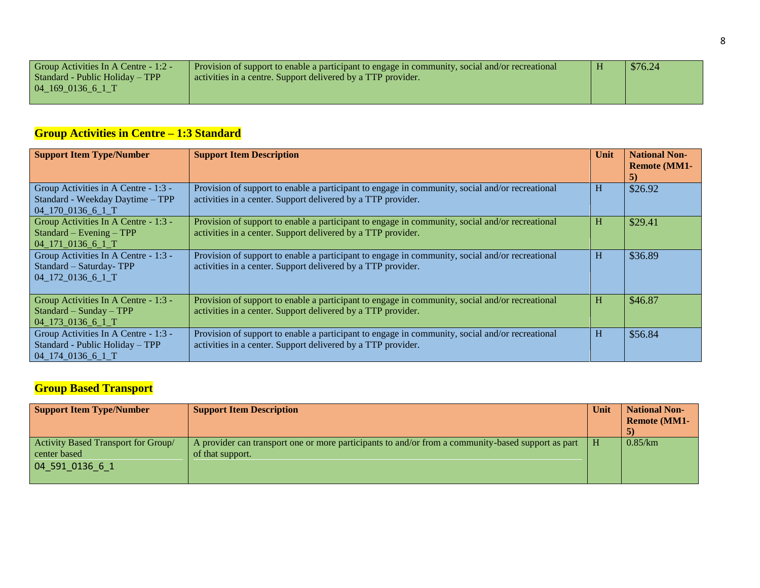| Group Activities In A Centre - 1:2 - | Provision of support to enable a participant to engage in community, social and/or recreational | \$76.24 |
|--------------------------------------|-------------------------------------------------------------------------------------------------|---------|
| Standard - Public Holiday – TPP      | activities in a centre. Support delivered by a TTP provider.                                    |         |
| 04 169 0136 6 1 T                    |                                                                                                 |         |
|                                      |                                                                                                 |         |

# **Group Activities in Centre – 1:3 Standard**

| <b>Support Item Type/Number</b>                                                                             | <b>Support Item Description</b>                                                                                                                                 | Unit | <b>National Non-</b><br><b>Remote (MM1-</b><br>5) |
|-------------------------------------------------------------------------------------------------------------|-----------------------------------------------------------------------------------------------------------------------------------------------------------------|------|---------------------------------------------------|
| Group Activities in A Centre - 1:3 -<br>Standard - Weekday Daytime - TPP<br>$04$ <sub>-170</sub> 0136 6 1 T | Provision of support to enable a participant to engage in community, social and/or recreational<br>activities in a center. Support delivered by a TTP provider. | H    | \$26.92                                           |
| Group Activities In A Centre - 1:3 -<br>$Standard - Evening - TPP$<br>04_171_0136_6_1_T                     | Provision of support to enable a participant to engage in community, social and/or recreational<br>activities in a center. Support delivered by a TTP provider. | H    | \$29.41                                           |
| Group Activities In A Centre - 1:3 -<br>Standard - Saturday-TPP<br>04_172_0136_6_1_T                        | Provision of support to enable a participant to engage in community, social and/or recreational<br>activities in a center. Support delivered by a TTP provider. | H    | \$36.89                                           |
| Group Activities In A Centre - 1:3 -<br>Standard - Sunday - TPP<br>04_173_0136_6_1_T                        | Provision of support to enable a participant to engage in community, social and/or recreational<br>activities in a center. Support delivered by a TTP provider. | H    | \$46.87                                           |
| Group Activities In A Centre - 1:3 -<br>Standard - Public Holiday - TPP<br>04_174_0136_6_1_T                | Provision of support to enable a participant to engage in community, social and/or recreational<br>activities in a center. Support delivered by a TTP provider. | H    | \$56.84                                           |

## **Group Based Transport**

| <b>Support Item Type/Number</b>                                                                                | <b>Support Item Description</b>                                                                                        | Unit | <b>National Non-</b><br><b>Remote (MM1-</b> |
|----------------------------------------------------------------------------------------------------------------|------------------------------------------------------------------------------------------------------------------------|------|---------------------------------------------|
| Activity Based Transport for Group/<br>center based<br>$\begin{bmatrix} 04 & 591 & 0136 & 6 & 1 \end{bmatrix}$ | A provider can transport one or more participants to and/or from a community-based support as part<br>of that support. |      | 0.85/km                                     |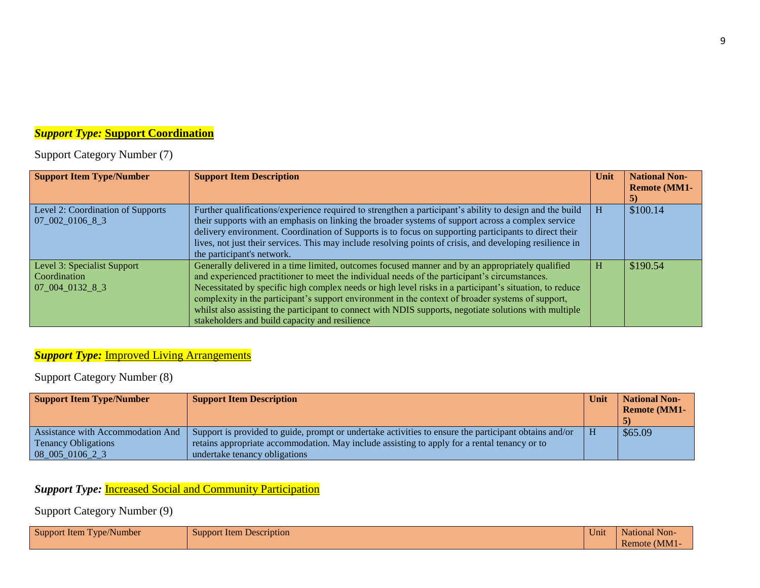## *Support Type:* **Support Coordination**

Support Category Number (7)

| <b>Support Item Type/Number</b>   | <b>Support Item Description</b>                                                                           | Unit | <b>National Non-</b><br><b>Remote (MM1-</b> |
|-----------------------------------|-----------------------------------------------------------------------------------------------------------|------|---------------------------------------------|
|                                   |                                                                                                           |      | 5)                                          |
| Level 2: Coordination of Supports | Further qualifications/experience required to strengthen a participant's ability to design and the build  | н    | \$100.14                                    |
| 07002010683                       | their supports with an emphasis on linking the broader systems of support across a complex service        |      |                                             |
|                                   | delivery environment. Coordination of Supports is to focus on supporting participants to direct their     |      |                                             |
|                                   | lives, not just their services. This may include resolving points of crisis, and developing resilience in |      |                                             |
|                                   | the participant's network.                                                                                |      |                                             |
| Level 3: Specialist Support       | Generally delivered in a time limited, outcomes focused manner and by an appropriately qualified          | н    | \$190.54                                    |
| <b>Coordination</b>               | and experienced practitioner to meet the individual needs of the participant's circumstances.             |      |                                             |
| 07 004 0132 8 3                   | Necessitated by specific high complex needs or high level risks in a participant's situation, to reduce   |      |                                             |
|                                   | complexity in the participant's support environment in the context of broader systems of support,         |      |                                             |
|                                   | whilst also assisting the participant to connect with NDIS supports, negotiate solutions with multiple    |      |                                             |
|                                   | stakeholders and build capacity and resilience                                                            |      |                                             |

#### **Support Type: Improved Living Arrangements**

Support Category Number (8)

| <b>Support Item Type/Number</b>   | <b>Support Item Description</b>                                                                       | Unit | <b>National Non-</b><br><b>Remote (MM1-</b> |
|-----------------------------------|-------------------------------------------------------------------------------------------------------|------|---------------------------------------------|
| Assistance with Accommodation And | Support is provided to guide, prompt or undertake activities to ensure the participant obtains and/or | н    | \$65.09                                     |
| <b>Tenancy Obligations</b>        | retains appropriate accommodation. May include assisting to apply for a rental tenancy or to          |      |                                             |
| $08\ 005\ 0106\ 2\ 3$             | undertake tenancy obligations                                                                         |      |                                             |

# **Support Type: Increased Social and Community Participation**

Support Category Number (9)

| Support Item Type/Number | Support Item Description | $\mathbf{v}$<br>Unit | National Non- |
|--------------------------|--------------------------|----------------------|---------------|
|                          |                          |                      | Remote (MM1-  |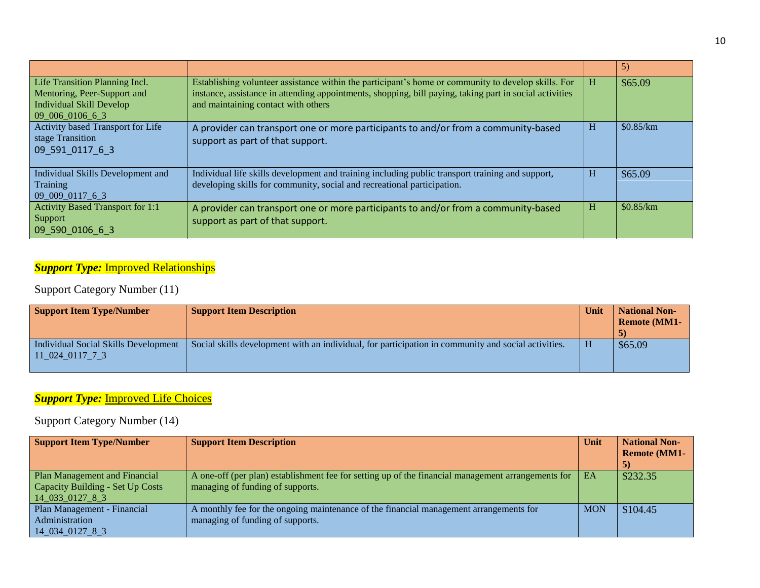|                                                                                                                     |                                                                                                                                                                                                                                                       |   | 5)        |
|---------------------------------------------------------------------------------------------------------------------|-------------------------------------------------------------------------------------------------------------------------------------------------------------------------------------------------------------------------------------------------------|---|-----------|
| Life Transition Planning Incl.<br>Mentoring, Peer-Support and<br><b>Individual Skill Develop</b><br>09 006 0106 6 3 | Establishing volunteer assistance within the participant's home or community to develop skills. For<br>instance, assistance in attending appointments, shopping, bill paying, taking part in social activities<br>and maintaining contact with others | H | \$65.09   |
| Activity based Transport for Life<br>stage Transition<br>09 591 0117 6 3                                            | A provider can transport one or more participants to and/or from a community-based<br>support as part of that support.                                                                                                                                | H | \$0.85/km |
| Individual Skills Development and<br>Training<br>09 009 0117 6 3                                                    | Individual life skills development and training including public transport training and support,<br>developing skills for community, social and recreational participation.                                                                           | H | \$65.09   |
| <b>Activity Based Transport for 1:1</b><br>Support<br>09 590 0106 6 3                                               | A provider can transport one or more participants to and/or from a community-based<br>support as part of that support.                                                                                                                                | H | \$0.85/km |

# **Support Type: Improved Relationships**

## Support Category Number (11)

| <b>Support Item Type/Number</b>                               | <b>Support Item Description</b>                                                                     | Unit | <b>National Non-</b><br><b>Remote (MM1-</b> |
|---------------------------------------------------------------|-----------------------------------------------------------------------------------------------------|------|---------------------------------------------|
| Individual Social Skills Development<br>$11\_024\_0117\_7\_3$ | Social skills development with an individual, for participation in community and social activities. |      | \$65.09                                     |

# **Support Type: Improved Life Choices**

## Support Category Number (14)

| <b>Support Item Type/Number</b>  | <b>Support Item Description</b>                                                                    | Unit       | <b>National Non-</b> |
|----------------------------------|----------------------------------------------------------------------------------------------------|------------|----------------------|
|                                  |                                                                                                    |            | <b>Remote (MM1-</b>  |
|                                  |                                                                                                    |            | $\mathcal{D}$        |
| Plan Management and Financial    | A one-off (per plan) establishment fee for setting up of the financial management arrangements for | EA         | \$232.35             |
| Capacity Building - Set Up Costs | managing of funding of supports.                                                                   |            |                      |
| $14\_033\_0127\_8\_3$            |                                                                                                    |            |                      |
| Plan Management - Financial      | A monthly fee for the ongoing maintenance of the financial management arrangements for             | <b>MON</b> | \$104.45             |
| <b>Administration</b>            | managing of funding of supports.                                                                   |            |                      |
| 14 034 0127 8 3                  |                                                                                                    |            |                      |